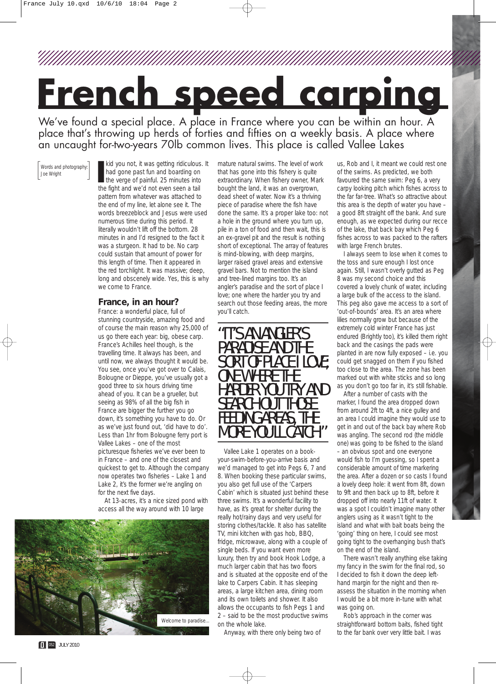## **French speed carping**

We've found a special place. A place in France where you can be within an hour. A place that's throwing up herds of forties and fifties on a weekly basis. A place where an uncaught for-two-years 70lb common lives. This place is called Vallee Lakes

[Words and photography:]<br>
Joe Wright<br> **I** 

kid you not, it was getting ridiculous. It had gone past fun and boarding on the verge of painful. 25 minutes into the fight and we'd not even seen a tail pattern from whatever was attached to the end of my line, let alone see it. The words breezeblock and Jesus were used numerous time during this period. It literally wouldn't lift off the bottom. 28 minutes in and I'd resigned to the fact it was a sturgeon. It had to be. No carp could sustain that amount of power for this length of time. Then it appeared in the red torchlight. It was massive; deep, long and obscenely wide. Yes, this is why we come to France.

## **France, in an hour?**

France: a wonderful place, full of stunning countryside, amazing food and of course the main reason why 25,000 of us go there each year: big, obese carp. France's Achilles heel though, is the travelling time. It always has been, and until now, we always thought it would be. You see, once you've got over to Calais, Bolougne or Dieppe, you've usually got a good three to six hours driving time ahead of you. It can be a grueller, but seeing as 98% of all the big fish in France are bigger the further you go down, it's something you have to do. Or as we've just found out, 'did have to do'. Less than 1hr from Bolougne ferry port is Vallee Lakes – one of the most picturesque fisheries we've ever been to in France – and one of the closest and quickest to get to. Although the company now operates two fisheries – Lake 1 and Lake 2, it's the former we're angling on for the next five days.

At 13-acres, it's a nice sized pond with access all the way around with 10 large



mature natural swims. The level of work that has gone into this fishery is quite extraordinary. When fishery owner, Mark bought the land, it was an overgrown, dead sheet of water. Now it's a thriving piece of paradise where the fish have done the same. It's a proper lake too: not a hole in the ground where you turn up, pile in a ton of food and then wait, this is an ex-gravel pit and the result is nothing short of exceptional. The array of features is mind-blowing, with deep margins, larger raised gravel areas and extensive gravel bars. Not to mention the island and tree-lined margins too. It's an angler's paradise and the sort of place I love; one where the harder you try and search out those feeding areas, the more you'll catch.

"IT'S AN ANGLER'S PARADISE AND THE SORT OF PLACE I LOVE; ONE WHERE THE HARDER YOU TRY AND SEARCH OUT THOSE FEEDING AREAS, THE MORE YOU'LL CATC

Vallee Lake 1 operates on a bookyour-swim-before-you-arrive basis and we'd managed to get into Pegs 6, 7 and 8. When booking these particular swims, you also get full use of the 'Carpers Cabin' which is situated just behind these three swims. It's a wonderful facility to have, as it's great for shelter during the really hot/rainy days and very useful for storing clothes/tackle. It also has satellite TV, mini kitchen with gas hob, BBQ, fridge, microwave, along with a couple of single beds. If you want even more luxury, then try and book Hook Lodge, a much larger cabin that has two floors and is situated at the opposite end of the lake to Carpers Cabin. It has sleeping areas, a large kitchen area, dining room and its own toilets and shower. It also allows the occupants to fish Pegs 1 and 2 – said to be the most productive swims on the whole lake.

Anyway, with there only being two of

us, Rob and I, it meant we could rest one of the swims. As predicted, we both favoured the same swim: Peg 6, a very carpy looking pitch which fishes across to the far far-tree. What's so attractive about this area is the depth of water you have – a good 8ft straight off the bank. And sure enough, as we expected during our recce of the lake, that back bay which Peg 6 fishes across to was packed to the rafters with large French brutes.

I always seem to lose when it comes to the toss and sure enough I lost once again. Still, I wasn't overly gutted as Peg 8 was my second choice and this covered a lovely chunk of water, including a large bulk of the access to the island. This peg also gave me access to a sort of 'out-of-bounds' area. It's an area where lilies normally grow but because of the extremely cold winter France has just endured (Brightly too), it's killed them right back and the casings the pads were planted in are now fully exposed – i.e. you could get snagged on them if you fished too close to the area. The zone has been marked out with white sticks and so long as you don't go too far in, it's still fishable.

After a number of casts with the marker, I found the area dropped down from around 2ft to 4ft, a nice gulley and an area I could imagine they would use to get in and out of the back bay where Rob was angling. The second rod (the middle one) was going to be fished to the island – an obvious spot and one everyone would fish to I'm guessing, so I spent a considerable amount of time markering the area. After a dozen or so casts I found a lovely deep hole: it went from 8ft, down to 9ft and then back up to 8ft, before it dropped off into nearly 11ft of water. It was a spot I couldn't imagine many other anglers using as it wasn't tight to the island and what with bait boats being the 'going' thing on here, I could see most going tight to the overhanging bush that's on the end of the island.

There wasn't really anything else taking my fancy in the swim for the final rod, so I decided to fish it down the deep lefthand margin for the night and then reassess the situation in the morning when I would be a bit more in-tune with what was going on.

Rob's approach in the corner was straightforward bottom baits, fished tight to the far bank over very little bait. I was